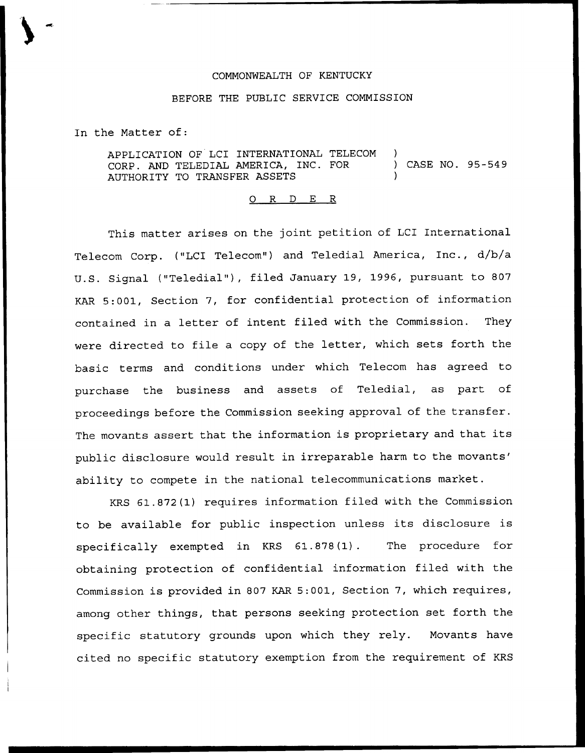## COMMONWEALTH OF KENTUCKY

## BEFORE THE PUBLIC SERVICE COMMISSION

In the Matter of:

APPLICATION OF LCI INTERNATIONAL TELECOM CORP. AND TELEDIAL AMERICA, INC. FOR AUTHORITY TO TRANSFER ASSETS ) ) CASE NO. 95-549 )

## 0 R <sup>D</sup> E <sup>R</sup>

This matter arises on the joint petition of LCI International Telecom Corp. ("LCI Telecom") and Teledial America, Inc., d/b/a U.S. Signal ("Teledial"), filed January 19, 1996, pursuant to 807 KAR 5:001, Section 7, for confidential protection of information contained in a letter of intent filed with the Commission. They were directed to file a copy of the letter, which sets forth the basic terms and conditions under which Telecom has agreed to purchase the business and assets of Teledial, as part of proceedings before the Commission seeking approval of the transfer. The movants assert that the information is proprietary and that its public disclosure would result in irreparable harm to the movants' ability to compete in the national telecommunications market.

KRS 61.872(1) requires information filed with the Commission to be available for public inspection unless its disclosure is specifically exempted in KRS 61.878(1). The procedure for obtaining protection of confidential information filed with the Commission is provided in 807 KAR 5:001, Section 7, which requires, among other things, that persons seeking protection set forth the specific statutory grounds upon which they rely. Movants have cited no specific statutory exemption from the requirement of KRS